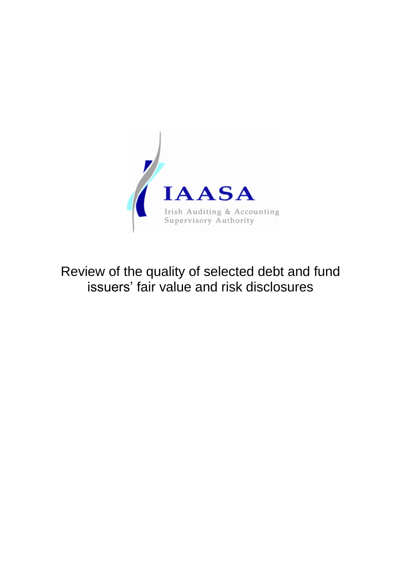

Review of the quality of selected debt and fund issuers' fair value and risk disclosures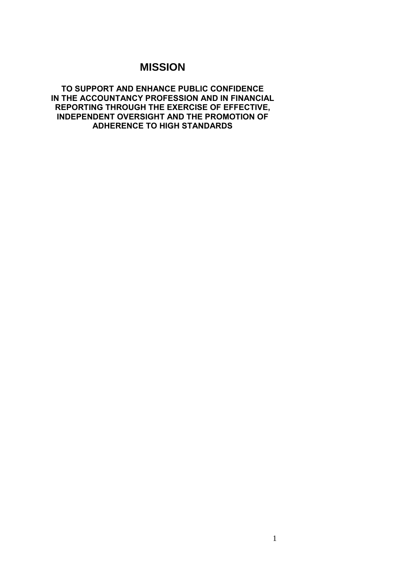# **MISSION**

**TO SUPPORT AND ENHANCE PUBLIC CONFIDENCE IN THE ACCOUNTANCY PROFESSION AND IN FINANCIAL REPORTING THROUGH THE EXERCISE OF EFFECTIVE, INDEPENDENT OVERSIGHT AND THE PROMOTION OF ADHERENCE TO HIGH STANDARDS**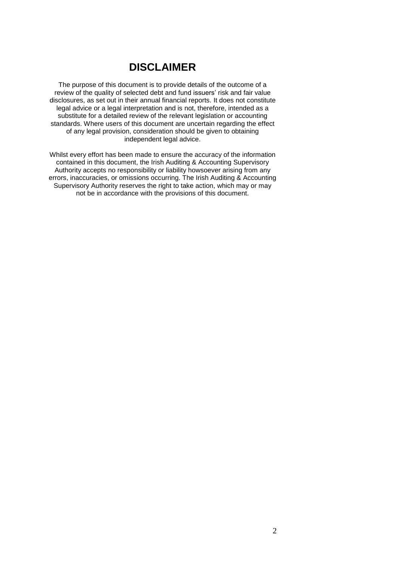# **DISCLAIMER**

The purpose of this document is to provide details of the outcome of a review of the quality of selected debt and fund issuers' risk and fair value disclosures, as set out in their annual financial reports. It does not constitute legal advice or a legal interpretation and is not, therefore, intended as a substitute for a detailed review of the relevant legislation or accounting standards. Where users of this document are uncertain regarding the effect of any legal provision, consideration should be given to obtaining independent legal advice.

Whilst every effort has been made to ensure the accuracy of the information contained in this document, the Irish Auditing & Accounting Supervisory Authority accepts no responsibility or liability howsoever arising from any errors, inaccuracies, or omissions occurring. The Irish Auditing & Accounting Supervisory Authority reserves the right to take action, which may or may not be in accordance with the provisions of this document.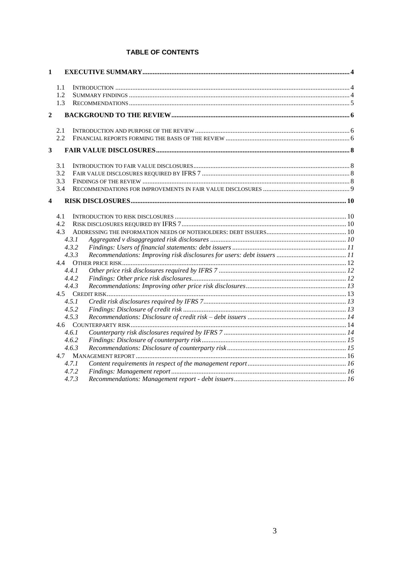## **TABLE OF CONTENTS**

| 1              |                |  |  |
|----------------|----------------|--|--|
|                | 1.1            |  |  |
|                | 1.2            |  |  |
|                | 1.3            |  |  |
| $\overline{2}$ |                |  |  |
|                | 2.1            |  |  |
|                | 2.2            |  |  |
| 3              |                |  |  |
|                | 3.1            |  |  |
|                | 3.2            |  |  |
|                | 3.3            |  |  |
|                | 3.4            |  |  |
| 4              |                |  |  |
|                | 4.1            |  |  |
|                | 4.2            |  |  |
|                | 4.3            |  |  |
|                | 4.3.1          |  |  |
|                | 4.3.2<br>4.3.3 |  |  |
|                | 4.4            |  |  |
|                | 4.4.1          |  |  |
|                | 4.4.2          |  |  |
|                | 4.4.3          |  |  |
|                |                |  |  |
|                | 4.5.1          |  |  |
|                | 4.5.2          |  |  |
|                | 4.5.3          |  |  |
|                |                |  |  |
|                | 4.6.1          |  |  |
|                | 4.6.2          |  |  |
|                | 4.6.3          |  |  |
|                | 4.7            |  |  |
|                | 4.7.1          |  |  |
|                | 4.7.2          |  |  |
|                | 4.7.3          |  |  |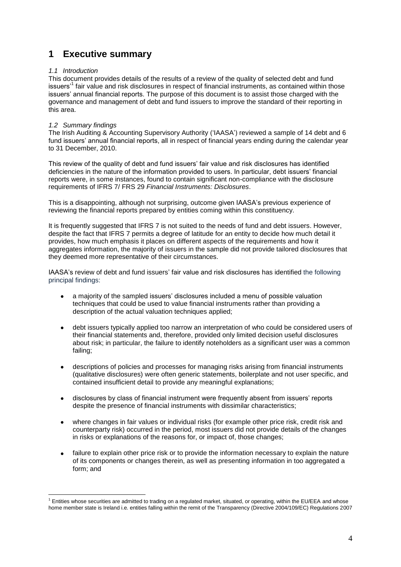# <span id="page-4-0"></span>**1 Executive summary**

## <span id="page-4-1"></span>*1.1 Introduction*

This document provides details of the results of a review of the quality of selected debt and fund issuers'<sup>1</sup> fair value and risk disclosures in respect of financial instruments, as contained within those issuers' annual financial reports. The purpose of this document is to assist those charged with the governance and management of debt and fund issuers to improve the standard of their reporting in this area.

### <span id="page-4-2"></span>*1.2 Summary findings*

<u>.</u>

The Irish Auditing & Accounting Supervisory Authority ('IAASA') reviewed a sample of 14 debt and 6 fund issuers' annual financial reports, all in respect of financial years ending during the calendar year to 31 December, 2010.

This review of the quality of debt and fund issuers' fair value and risk disclosures has identified deficiencies in the nature of the information provided to users. In particular, debt issuers' financial reports were, in some instances, found to contain significant non-compliance with the disclosure requirements of IFRS 7/ FRS 29 *Financial Instruments: Disclosures*.

This is a disappointing, although not surprising, outcome given IAASA's previous experience of reviewing the financial reports prepared by entities coming within this constituency.

It is frequently suggested that IFRS 7 is not suited to the needs of fund and debt issuers. However, despite the fact that IFRS 7 permits a degree of latitude for an entity to decide how much detail it provides, how much emphasis it places on different aspects of the requirements and how it aggregates information, the majority of issuers in the sample did not provide tailored disclosures that they deemed more representative of their circumstances.

IAASA's review of debt and fund issuers' fair value and risk disclosures has identified the following principal findings:

- a majority of the sampled issuers' disclosures included a menu of possible valuation techniques that could be used to value financial instruments rather than providing a description of the actual valuation techniques applied;
- debt issuers typically applied too narrow an interpretation of who could be considered users of  $\bullet$ their financial statements and, therefore, provided only limited decision useful disclosures about risk; in particular, the failure to identify noteholders as a significant user was a common failing;
- $\bullet$ descriptions of policies and processes for managing risks arising from financial instruments (qualitative disclosures) were often generic statements, boilerplate and not user specific, and contained insufficient detail to provide any meaningful explanations;
- disclosures by class of financial instrument were frequently absent from issuers' reports  $\bullet$ despite the presence of financial instruments with dissimilar characteristics;
- where changes in fair values or individual risks (for example other price risk, credit risk and counterparty risk) occurred in the period, most issuers did not provide details of the changes in risks or explanations of the reasons for, or impact of, those changes;
- failure to explain other price risk or to provide the information necessary to explain the nature of its components or changes therein, as well as presenting information in too aggregated a form; and

<sup>1</sup> Entities whose securities are admitted to trading on a regulated market, situated, or operating, within the EU/EEA and whose home member state is Ireland i.e. entities falling within the remit of the Transparency (Directive 2004/109/EC) Regulations 2007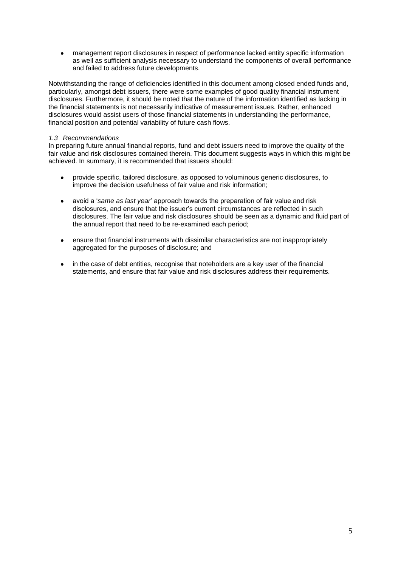management report disclosures in respect of performance lacked entity specific information as well as sufficient analysis necessary to understand the components of overall performance and failed to address future developments.

Notwithstanding the range of deficiencies identified in this document among closed ended funds and, particularly, amongst debt issuers, there were some examples of good quality financial instrument disclosures. Furthermore, it should be noted that the nature of the information identified as lacking in the financial statements is not necessarily indicative of measurement issues. Rather, enhanced disclosures would assist users of those financial statements in understanding the performance, financial position and potential variability of future cash flows.

## <span id="page-5-0"></span>*1.3 Recommendations*

In preparing future annual financial reports, fund and debt issuers need to improve the quality of the fair value and risk disclosures contained therein. This document suggests ways in which this might be achieved. In summary, it is recommended that issuers should:

- provide specific, tailored disclosure, as opposed to voluminous generic disclosures, to improve the decision usefulness of fair value and risk information;
- avoid a '*same as last year*' approach towards the preparation of fair value and risk  $\bullet$ disclosures, and ensure that the issuer's current circumstances are reflected in such disclosures. The fair value and risk disclosures should be seen as a dynamic and fluid part of the annual report that need to be re-examined each period;
- ensure that financial instruments with dissimilar characteristics are not inappropriately  $\bullet$ aggregated for the purposes of disclosure; and
- in the case of debt entities, recognise that noteholders are a key user of the financial  $\bullet$ statements, and ensure that fair value and risk disclosures address their requirements.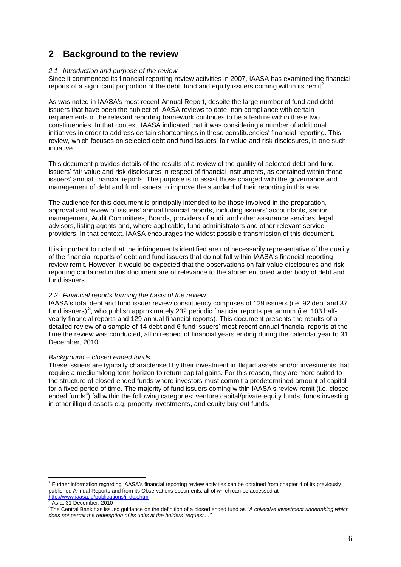# <span id="page-6-0"></span>**2 Background to the review**

## <span id="page-6-1"></span>*2.1 Introduction and purpose of the review*

Since it commenced its financial reporting review activities in 2007, IAASA has examined the financial reports of a significant proportion of the debt, fund and equity issuers coming within its remit<sup>2</sup>.

As was noted in IAASA's most recent Annual Report, despite the large number of fund and debt issuers that have been the subject of IAASA reviews to date, non-compliance with certain requirements of the relevant reporting framework continues to be a feature within these two constituencies. In that context, IAASA indicated that it was considering a number of additional initiatives in order to address certain shortcomings in these constituencies' financial reporting. This review, which focuses on selected debt and fund issuers' fair value and risk disclosures, is one such initiative.

This document provides details of the results of a review of the quality of selected debt and fund issuers' fair value and risk disclosures in respect of financial instruments, as contained within those issuers' annual financial reports. The purpose is to assist those charged with the governance and management of debt and fund issuers to improve the standard of their reporting in this area.

The audience for this document is principally intended to be those involved in the preparation, approval and review of issuers' annual financial reports, including issuers' accountants, senior management, Audit Committees, Boards, providers of audit and other assurance services, legal advisors, listing agents and, where applicable, fund administrators and other relevant service providers. In that context, IAASA encourages the widest possible transmission of this document.

It is important to note that the infringements identified are not necessarily representative of the quality of the financial reports of debt and fund issuers that do not fall within IAASA's financial reporting review remit. However, it would be expected that the observations on fair value disclosures and risk reporting contained in this document are of relevance to the aforementioned wider body of debt and fund issuers.

## <span id="page-6-2"></span>*2.2 Financial reports forming the basis of the review*

IAASA's total debt and fund issuer review constituency comprises of 129 issuers (i.e. 92 debt and 37 fund issuers)<sup>3</sup>, who publish approximately 232 periodic financial reports per annum (i.e. 103 halfyearly financial reports and 129 annual financial reports). This document presents the results of a detailed review of a sample of 14 debt and 6 fund issuers' most recent annual financial reports at the time the review was conducted, all in respect of financial years ending during the calendar year to 31 December, 2010.

### *Background – closed ended funds*

These issuers are typically characterised by their investment in illiquid assets and/or investments that require a medium/long term horizon to return capital gains. For this reason, they are more suited to the structure of closed ended funds where investors must commit a predetermined amount of capital for a fixed period of time. The majority of fund issuers coming within IAASA's review remit (i.e. closed ended funds<sup>4</sup>) fall within the following categories: venture capital/private equity funds, funds investing in other illiquid assets e.g. property investments, and equity buy-out funds*.*

 2 Further information regarding IAASA's financial reporting review activities can be obtained from chapter 4 of its previously published Annual Reports and from its Observations documents, all of which can be accessed at <http://www.iaasa.ie/publications/index.htm>

As at 31 December, 2010

<sup>4</sup> The Central Bank has issued guidance on the definition of a closed ended fund as *"A collective investment undertaking which does not permit the redemption of its units at the holders' request...."*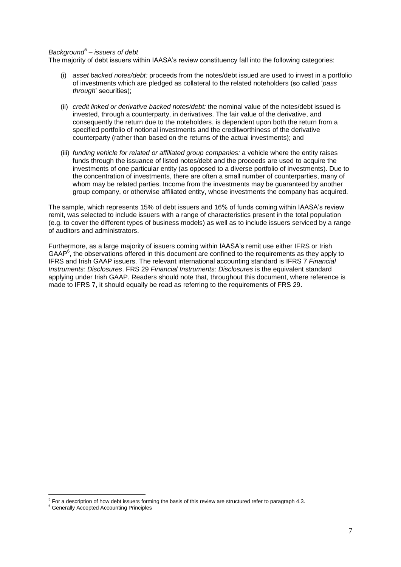## *Background<sup>5</sup> – issuers of debt*

The majority of debt issuers within IAASA's review constituency fall into the following categories:

- (i) *asset backed notes/debt:* proceeds from the notes/debt issued are used to invest in a portfolio of investments which are pledged as collateral to the related noteholders (so called '*pass through*' securities);
- (ii) *credit linked or derivative backed notes/debt:* the nominal value of the notes/debt issued is invested, through a counterparty, in derivatives. The fair value of the derivative, and consequently the return due to the noteholders, is dependent upon both the return from a specified portfolio of notional investments and the creditworthiness of the derivative counterparty (rather than based on the returns of the actual investments); and
- (iii) *funding vehicle for related or affiliated group companies:* a vehicle where the entity raises funds through the issuance of listed notes/debt and the proceeds are used to acquire the investments of one particular entity (as opposed to a diverse portfolio of investments). Due to the concentration of investments, there are often a small number of counterparties, many of whom may be related parties. Income from the investments may be guaranteed by another group company, or otherwise affiliated entity, whose investments the company has acquired.

The sample, which represents 15% of debt issuers and 16% of funds coming within IAASA's review remit, was selected to include issuers with a range of characteristics present in the total population (e.g. to cover the different types of business models) as well as to include issuers serviced by a range of auditors and administrators.

Furthermore, as a large majority of issuers coming within IAASA's remit use either IFRS or Irish GAAP<sup>6</sup>, the observations offered in this document are confined to the requirements as they apply to IFRS and Irish GAAP issuers. The relevant international accounting standard is IFRS 7 *Financial Instruments: Disclosures*. FRS 29 *Financial Instruments: Disclosures* is the equivalent standard applying under Irish GAAP. Readers should note that, throughout this document, where reference is made to IFRS 7, it should equally be read as referring to the requirements of FRS 29.

 5 For a description of how debt issuers forming the basis of this review are structured refer to paragraph 4.3.

<sup>&</sup>lt;sup>6</sup> Generally Accepted Accounting Principles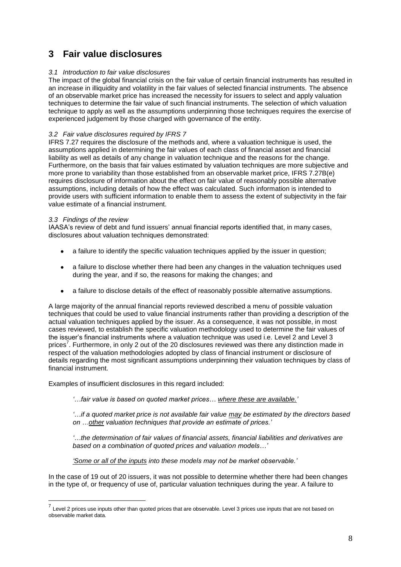# <span id="page-8-0"></span>**3 Fair value disclosures**

## <span id="page-8-1"></span>*3.1 Introduction to fair value disclosures*

The impact of the global financial crisis on the fair value of certain financial instruments has resulted in an increase in illiquidity and volatility in the fair values of selected financial instruments. The absence of an observable market price has increased the necessity for issuers to select and apply valuation techniques to determine the fair value of such financial instruments. The selection of which valuation technique to apply as well as the assumptions underpinning those techniques requires the exercise of experienced judgement by those charged with governance of the entity.

## <span id="page-8-2"></span>*3.2 Fair value disclosures required by IFRS 7*

IFRS 7.27 requires the disclosure of the methods and, where a valuation technique is used, the assumptions applied in determining the fair values of each class of financial asset and financial liability as well as details of any change in valuation technique and the reasons for the change. Furthermore, on the basis that fair values estimated by valuation techniques are more subjective and more prone to variability than those established from an observable market price, IFRS 7.27B(e) requires disclosure of information about the effect on fair value of reasonably possible alternative assumptions, including details of how the effect was calculated. Such information is intended to provide users with sufficient information to enable them to assess the extent of subjectivity in the fair value estimate of a financial instrument.

## <span id="page-8-3"></span>*3.3 Findings of the review*

IAASA's review of debt and fund issuers' annual financial reports identified that, in many cases, disclosures about valuation techniques demonstrated:

- a failure to identify the specific valuation techniques applied by the issuer in question;
- a failure to disclose whether there had been any changes in the valuation techniques used during the year, and if so, the reasons for making the changes; and
- a failure to disclose details of the effect of reasonably possible alternative assumptions.  $\bullet$

A large majority of the annual financial reports reviewed described a menu of possible valuation techniques that could be used to value financial instruments rather than providing a description of the actual valuation techniques applied by the issuer. As a consequence, it was not possible, in most cases reviewed, to establish the specific valuation methodology used to determine the fair values of the issuer's financial instruments where a valuation technique was used i.e. Level 2 and Level 3 prices<sup>7</sup>. Furthermore, in only 2 out of the 20 disclosures reviewed was there any distinction made in respect of the valuation methodologies adopted by class of financial instrument or disclosure of details regarding the most significant assumptions underpinning their valuation techniques by class of financial instrument.

Examples of insufficient disclosures in this regard included:

*'…fair value is based on quoted market prices… where these are available.'*

*'…if a quoted market price is not available fair value may be estimated by the directors based on …other valuation techniques that provide an estimate of prices.'*

*'…the determination of fair values of financial assets, financial liabilities and derivatives are based on a combination of quoted prices and valuation models…'*

*'Some or all of the inputs into these models may not be market observable.'*

In the case of 19 out of 20 issuers, it was not possible to determine whether there had been changes in the type of, or frequency of use of, particular valuation techniques during the year. A failure to

 7 Level 2 prices use inputs other than quoted prices that are observable. Level 3 prices use inputs that are not based on observable market data.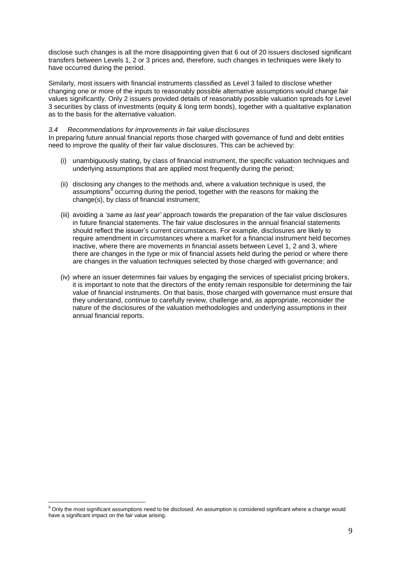disclose such changes is all the more disappointing given that 6 out of 20 issuers disclosed significant transfers between Levels 1, 2 or 3 prices and, therefore, such changes in techniques were likely to have occurred during the period.

Similarly, most issuers with financial instruments classified as Level 3 failed to disclose whether changing one or more of the inputs to reasonably possible alternative assumptions would change fair values significantly. Only 2 issuers provided details of reasonably possible valuation spreads for Level 3 securities by class of investments (equity & long term bonds), together with a qualitative explanation as to the basis for the alternative valuation.

### <span id="page-9-0"></span>*3.4 Recommendations for improvements in fair value disclosures*

In preparing future annual financial reports those charged with governance of fund and debt entities need to improve the quality of their fair value disclosures. This can be achieved by:

- (i) unambiguously stating, by class of financial instrument, the specific valuation techniques and underlying assumptions that are applied most frequently during the period;
- (ii) disclosing any changes to the methods and, where a valuation technique is used, the assumptions<sup>8</sup> occurring during the period, together with the reasons for making the change(s), by class of financial instrument;
- (iii) avoiding a *'same as last year'* approach towards the preparation of the fair value disclosures in future financial statements. The fair value disclosures in the annual financial statements should reflect the issuer's current circumstances. For example, disclosures are likely to require amendment in circumstances where a market for a financial instrument held becomes inactive, where there are movements in financial assets between Level 1, 2 and 3, where there are changes in the type or mix of financial assets held during the period or where there are changes in the valuation techniques selected by those charged with governance; and
- (iv) where an issuer determines fair values by engaging the services of specialist pricing brokers, it is important to note that the directors of the entity remain responsible for determining the fair value of financial instruments. On that basis, those charged with governance must ensure that they understand, continue to carefully review, challenge and, as appropriate, reconsider the nature of the disclosures of the valuation methodologies and underlying assumptions in their annual financial reports.

1

 $8$  Only the most significant assumptions need to be disclosed. An assumption is considered significant where a change would have a significant impact on the fair value arising.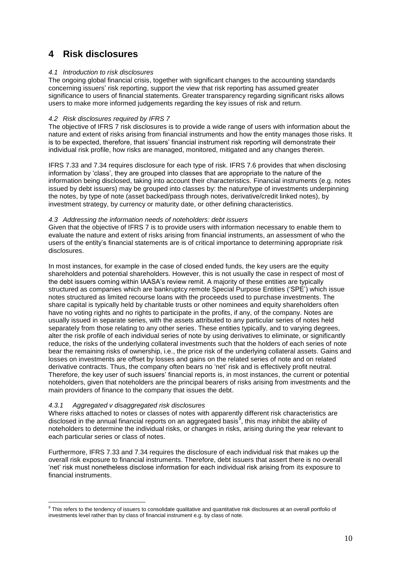# <span id="page-10-0"></span>**4 Risk disclosures**

## <span id="page-10-1"></span>*4.1 Introduction to risk disclosures*

The ongoing global financial crisis, together with significant changes to the accounting standards concerning issuers' risk reporting, support the view that risk reporting has assumed greater significance to users of financial statements. Greater transparency regarding significant risks allows users to make more informed judgements regarding the key issues of risk and return.

## <span id="page-10-2"></span>*4.2 Risk disclosures required by IFRS 7*

The objective of IFRS 7 risk disclosures is to provide a wide range of users with information about the nature and extent of risks arising from financial instruments and how the entity manages those risks. It is to be expected, therefore, that issuers' financial instrument risk reporting will demonstrate their individual risk profile, how risks are managed, monitored, mitigated and any changes therein.

IFRS 7.33 and 7.34 requires disclosure for each type of risk. IFRS 7.6 provides that when disclosing information by 'class', they are grouped into classes that are appropriate to the nature of the information being disclosed, taking into account their characteristics. Financial instruments (e.g. notes issued by debt issuers) may be grouped into classes by: the nature/type of investments underpinning the notes, by type of note (asset backed/pass through notes, derivative/credit linked notes), by investment strategy, by currency or maturity date, or other defining characteristics.

## <span id="page-10-3"></span>*4.3 Addressing the information needs of noteholders: debt issuers*

Given that the objective of IFRS 7 is to provide users with information necessary to enable them to evaluate the nature and extent of risks arising from financial instruments, an assessment of who the users of the entity's financial statements are is of critical importance to determining appropriate risk disclosures.

In most instances, for example in the case of closed ended funds, the key users are the equity shareholders and potential shareholders. However, this is not usually the case in respect of most of the debt issuers coming within IAASA's review remit. A majority of these entities are typically structured as companies which are bankruptcy remote Special Purpose Entities ('SPE') which issue notes structured as limited recourse loans with the proceeds used to purchase investments. The share capital is typically held by charitable trusts or other nominees and equity shareholders often have no voting rights and no rights to participate in the profits, if any, of the company. Notes are usually issued in separate series, with the assets attributed to any particular series of notes held separately from those relating to any other series. These entities typically, and to varying degrees, alter the risk profile of each individual series of note by using derivatives to eliminate, or significantly reduce, the risks of the underlying collateral investments such that the holders of each series of note bear the remaining risks of ownership, i.e., the price risk of the underlying collateral assets. Gains and losses on investments are offset by losses and gains on the related series of note and on related derivative contracts. Thus, the company often bears no 'net' risk and is effectively profit neutral. Therefore, the key user of such issuers' financial reports is, in most instances, the current or potential noteholders, given that noteholders are the principal bearers of risks arising from investments and the main providers of finance to the company that issues the debt.

## <span id="page-10-4"></span>*4.3.1 Aggregated v disaggregated risk disclosures*

Where risks attached to notes or classes of notes with apparently different risk characteristics are disclosed in the annual financial reports on an aggregated basis<sup>9</sup>, this may inhibit the ability of noteholders to determine the individual risks, or changes in risks, arising during the year relevant to each particular series or class of notes.

Furthermore, IFRS 7.33 and 7.34 requires the disclosure of each individual risk that makes up the overall risk exposure to financial instruments. Therefore, debt issuers that assert there is no overall 'net' risk must nonetheless disclose information for each individual risk arising from its exposure to financial instruments.

 9 This refers to the tendency of issuers to consolidate qualitative and quantitative risk disclosures at an overall portfolio of investments level rather than by class of financial instrument e.g. by class of note.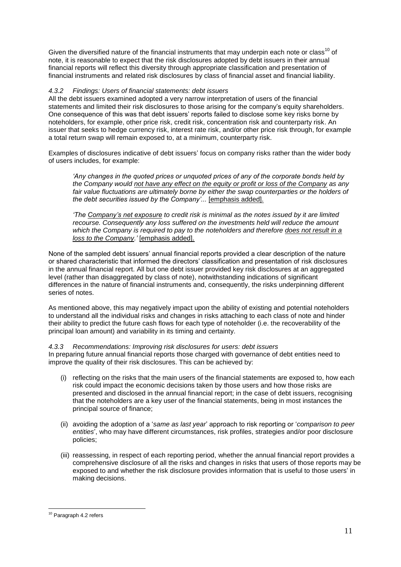Given the diversified nature of the financial instruments that may underpin each note or class<sup>10</sup> of note, it is reasonable to expect that the risk disclosures adopted by debt issuers in their annual financial reports will reflect this diversity through appropriate classification and presentation of financial instruments and related risk disclosures by class of financial asset and financial liability.

## <span id="page-11-0"></span>*4.3.2 Findings: Users of financial statements: debt issuers*

All the debt issuers examined adopted a very narrow interpretation of users of the financial statements and limited their risk disclosures to those arising for the company's equity shareholders. One consequence of this was that debt issuers' reports failed to disclose some key risks borne by noteholders, for example, other price risk, credit risk, concentration risk and counterparty risk. An issuer that seeks to hedge currency risk, interest rate risk, and/or other price risk through, for example a total return swap will remain exposed to, at a minimum, counterparty risk.

Examples of disclosures indicative of debt issuers' focus on company risks rather than the wider body of users includes, for example:

*'Any changes in the quoted prices or unquoted prices of any of the corporate bonds held by the Company would not have any effect on the equity or profit or loss of the Company as any fair value fluctuations are ultimately borne by either the swap counterparties or the holders of the debt securities issued by the Company'...* [emphasis added].

*'The Company's net exposure to credit risk is minimal as the notes issued by it are limited recourse. Consequently any loss suffered on the investments held will reduce the amount which the Company is required to pay to the noteholders and therefore does not result in a loss to the Company.'* [emphasis added].

None of the sampled debt issuers' annual financial reports provided a clear description of the nature or shared characteristic that informed the directors' classification and presentation of risk disclosures in the annual financial report. All but one debt issuer provided key risk disclosures at an aggregated level (rather than disaggregated by class of note), notwithstanding indications of significant differences in the nature of financial instruments and, consequently, the risks underpinning different series of notes.

As mentioned above, this may negatively impact upon the ability of existing and potential noteholders to understand all the individual risks and changes in risks attaching to each class of note and hinder their ability to predict the future cash flows for each type of noteholder (i.e. the recoverability of the principal loan amount) and variability in its timing and certainty.

# <span id="page-11-1"></span>*4.3.3 Recommendations: Improving risk disclosures for users: debt issuers*

In preparing future annual financial reports those charged with governance of debt entities need to improve the quality of their risk disclosures. This can be achieved by:

- (i) reflecting on the risks that the main users of the financial statements are exposed to, how each risk could impact the economic decisions taken by those users and how those risks are presented and disclosed in the annual financial report; in the case of debt issuers, recognising that the noteholders are a key user of the financial statements, being in most instances the principal source of finance;
- (ii) avoiding the adoption of a '*same as last year*' approach to risk reporting or '*comparison to peer entities*', who may have different circumstances, risk profiles, strategies and/or poor disclosure policies;
- (iii) reassessing, in respect of each reporting period, whether the annual financial report provides a comprehensive disclosure of all the risks and changes in risks that users of those reports may be exposed to and whether the risk disclosure provides information that is useful to those users' in making decisions.

<sup>&</sup>lt;u>.</u> <sup>10</sup> Paragraph 4.2 refers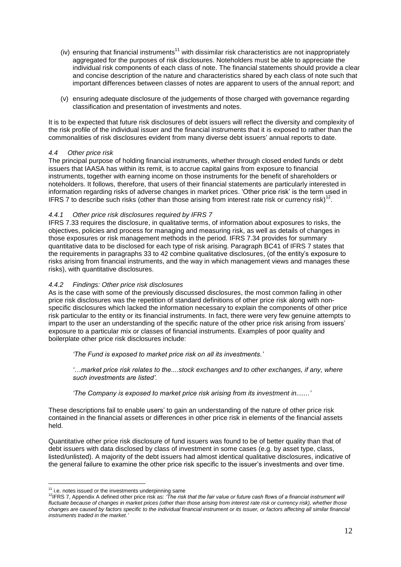- (iv) ensuring that financial instruments<sup>11</sup> with dissimilar risk characteristics are not inappropriately aggregated for the purposes of risk disclosures. Noteholders must be able to appreciate the individual risk components of each class of note. The financial statements should provide a clear and concise description of the nature and characteristics shared by each class of note such that important differences between classes of notes are apparent to users of the annual report; and
- (v) ensuring adequate disclosure of the judgements of those charged with governance regarding classification and presentation of investments and notes.

It is to be expected that future risk disclosures of debt issuers will reflect the diversity and complexity of the risk profile of the individual issuer and the financial instruments that it is exposed to rather than the commonalities of risk disclosures evident from many diverse debt issuers' annual reports to date.

## <span id="page-12-0"></span>*4.4 Other price risk*

The principal purpose of holding financial instruments, whether through closed ended funds or debt issuers that IAASA has within its remit, is to accrue capital gains from exposure to financial instruments, together with earning income on those instruments for the benefit of shareholders or noteholders. It follows, therefore, that users of their financial statements are particularly interested in information regarding risks of adverse changes in market prices. 'Other price risk' is the term used in IFRS 7 to describe such risks (other than those arising from interest rate risk or currency risk)<sup>1</sup> .

## <span id="page-12-1"></span>*4.4.1 Other price risk disclosures required by IFRS 7*

IFRS 7.33 requires the disclosure, in qualitative terms, of information about exposures to risks, the objectives, policies and process for managing and measuring risk, as well as details of changes in those exposures or risk management methods in the period. IFRS 7.34 provides for summary quantitative data to be disclosed for each type of risk arising. Paragraph BC41 of IFRS 7 states that the requirements in paragraphs 33 to 42 combine qualitative disclosures, (of the entity's exposure to risks arising from financial instruments, and the way in which management views and manages these risks), with quantitative disclosures.

## <span id="page-12-2"></span>*4.4.2 Findings: Other price risk disclosures*

As is the case with some of the previously discussed disclosures, the most common failing in other price risk disclosures was the repetition of standard definitions of other price risk along with nonspecific disclosures which lacked the information necessary to explain the components of other price risk particular to the entity or its financial instruments. In fact, there were very few genuine attempts to impart to the user an understanding of the specific nature of the other price risk arising from issuers' exposure to a particular mix or classes of financial instruments. Examples of poor quality and boilerplate other price risk disclosures include:

*'The Fund is exposed to market price risk on all its investments.'*

*'…market price risk relates to the....stock exchanges and to other exchanges, if any, where such investments are listed'.*

*'The Company is exposed to market price risk arising from its investment in.......'*

These descriptions fail to enable users' to gain an understanding of the nature of other price risk contained in the financial assets or differences in other price risk in elements of the financial assets held.

Quantitative other price risk disclosure of fund issuers was found to be of better quality than that of debt issuers with data disclosed by class of investment in some cases (e.g. by asset type, class, listed/unlisted). A majority of the debt issuers had almost identical qualitative disclosures, indicative of the general failure to examine the other price risk specific to the issuer's investments and over time.

1

 $11$  i.e. notes issued or the investments underpinning same

<sup>12</sup>IFRS 7, Appendix A defined other price risk as: *'The risk that the fair value or future cash flows of a financial instrument will fluctuate because of changes in market prices (other than those arising from interest rate risk or currency risk), whether those changes are caused by factors specific to the individual financial instrument or its issuer, or factors affecting all similar financial instruments traded in the market.'*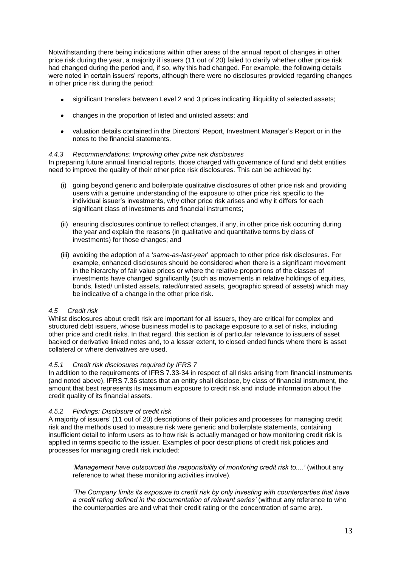Notwithstanding there being indications within other areas of the annual report of changes in other price risk during the year, a majority if issuers (11 out of 20) failed to clarify whether other price risk had changed during the period and, if so, why this had changed. For example, the following details were noted in certain issuers' reports, although there were no disclosures provided regarding changes in other price risk during the period:

- significant transfers between Level 2 and 3 prices indicating illiquidity of selected assets;
- changes in the proportion of listed and unlisted assets; and
- valuation details contained in the Directors' Report, Investment Manager's Report or in the notes to the financial statements.

## <span id="page-13-0"></span>*4.4.3 Recommendations: Improving other price risk disclosures*

In preparing future annual financial reports, those charged with governance of fund and debt entities need to improve the quality of their other price risk disclosures. This can be achieved by:

- (i) going beyond generic and boilerplate qualitative disclosures of other price risk and providing users with a genuine understanding of the exposure to other price risk specific to the individual issuer's investments, why other price risk arises and why it differs for each significant class of investments and financial instruments;
- (ii) ensuring disclosures continue to reflect changes, if any, in other price risk occurring during the year and explain the reasons (in qualitative and quantitative terms by class of investments) for those changes; and
- (iii) avoiding the adoption of a '*same-as-last-year*' approach to other price risk disclosures. For example, enhanced disclosures should be considered when there is a significant movement in the hierarchy of fair value prices or where the relative proportions of the classes of investments have changed significantly (such as movements in relative holdings of equities, bonds, listed/ unlisted assets, rated/unrated assets, geographic spread of assets) which may be indicative of a change in the other price risk.

## <span id="page-13-1"></span>*4.5 Credit risk*

Whilst disclosures about credit risk are important for all issuers, they are critical for complex and structured debt issuers, whose business model is to package exposure to a set of risks, including other price and credit risks. In that regard, this section is of particular relevance to issuers of asset backed or derivative linked notes and, to a lesser extent, to closed ended funds where there is asset collateral or where derivatives are used.

## <span id="page-13-2"></span>*4.5.1 Credit risk disclosures required by IFRS 7*

In addition to the requirements of IFRS 7.33-34 in respect of all risks arising from financial instruments (and noted above), IFRS 7.36 states that an entity shall disclose, by class of financial instrument, the amount that best represents its maximum exposure to credit risk and include information about the credit quality of its financial assets.

## <span id="page-13-3"></span>*4.5.2 Findings: Disclosure of credit risk*

A majority of issuers' (11 out of 20) descriptions of their policies and processes for managing credit risk and the methods used to measure risk were generic and boilerplate statements, containing insufficient detail to inform users as to how risk is actually managed or how monitoring credit risk is applied in terms specific to the issuer. Examples of poor descriptions of credit risk policies and processes for managing credit risk included:

*'Management have outsourced the responsibility of monitoring credit risk to....'* (without any reference to what these monitoring activities involve).

*'The Company limits its exposure to credit risk by only investing with counterparties that have a credit rating defined in the documentation of relevant series'* (without any reference to who the counterparties are and what their credit rating or the concentration of same are).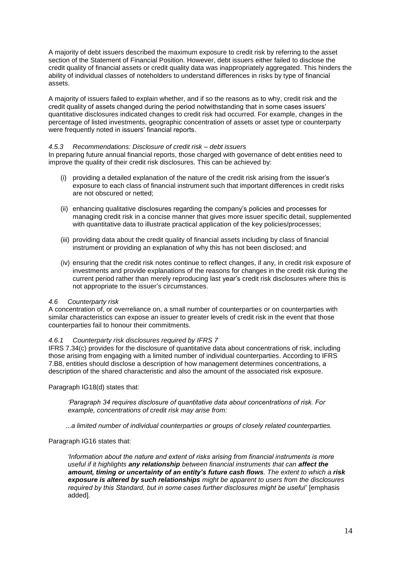A majority of debt issuers described the maximum exposure to credit risk by referring to the asset section of the Statement of Financial Position. However, debt issuers either failed to disclose the credit quality of financial assets or credit quality data was inappropriately aggregated. This hinders the ability of individual classes of noteholders to understand differences in risks by type of financial assets.

A majority of issuers failed to explain whether, and if so the reasons as to why, credit risk and the credit quality of assets changed during the period notwithstanding that in some cases issuers' quantitative disclosures indicated changes to credit risk had occurred. For example, changes in the percentage of listed investments, geographic concentration of assets or asset type or counterparty were frequently noted in issuers' financial reports.

### <span id="page-14-0"></span>*4.5.3 Recommendations: Disclosure of credit risk – debt issuers*

In preparing future annual financial reports, those charged with governance of debt entities need to improve the quality of their credit risk disclosures. This can be achieved by:

- (i) providing a detailed explanation of the nature of the credit risk arising from the issuer's exposure to each class of financial instrument such that important differences in credit risks are not obscured or netted;
- (ii) enhancing qualitative disclosures regarding the company's policies and processes for managing credit risk in a concise manner that gives more issuer specific detail, supplemented with quantitative data to illustrate practical application of the key policies/processes;
- (iii) providing data about the credit quality of financial assets including by class of financial instrument or providing an explanation of why this has not been disclosed; and
- (iv) ensuring that the credit risk notes continue to reflect changes, if any, in credit risk exposure of investments and provide explanations of the reasons for changes in the credit risk during the current period rather than merely reproducing last year's credit risk disclosures where this is not appropriate to the issuer's circumstances.

### <span id="page-14-1"></span>*4.6 Counterparty risk*

A concentration of, or overreliance on, a small number of counterparties or on counterparties with similar characteristics can expose an issuer to greater levels of credit risk in the event that those counterparties fail to honour their commitments.

### <span id="page-14-2"></span>*4.6.1 Counterparty risk disclosures required by IFRS 7*

IFRS 7.34(c) provides for the disclosure of quantitative data about concentrations of risk, including those arising from engaging with a limited number of individual counterparties. According to IFRS 7.B8, entities should disclose a description of how management determines concentrations, a description of the shared characteristic and also the amount of the associated risk exposure.

Paragraph IG18(d) states that:

*'Paragraph 34 requires disclosure of quantitative data about concentrations of risk. For example, concentrations of credit risk may arise from:* 

*...a limited number of individual counterparties or groups of closely related counterparties.* 

Paragraph IG16 states that:

*'Information about the nature and extent of risks arising from financial instruments is more useful if it highlights any relationship between financial instruments that can affect the amount, timing or uncertainty of an entity's future cash flows. The extent to which a risk exposure is altered by such relationships might be apparent to users from the disclosures required by this Standard, but in some cases further disclosures might be useful'* [emphasis added].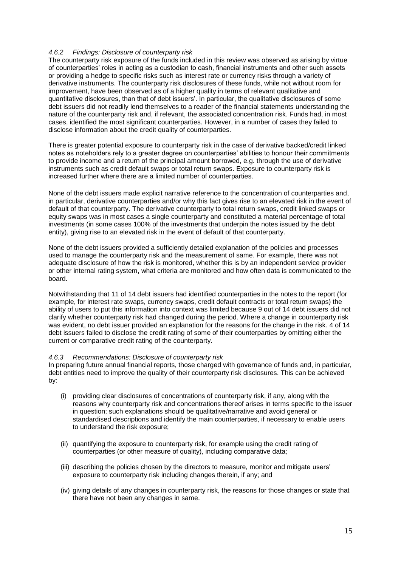## <span id="page-15-0"></span>*4.6.2 Findings: Disclosure of counterparty risk*

The counterparty risk exposure of the funds included in this review was observed as arising by virtue of counterparties' roles in acting as a custodian to cash, financial instruments and other such assets or providing a hedge to specific risks such as interest rate or currency risks through a variety of derivative instruments. The counterparty risk disclosures of these funds, while not without room for improvement, have been observed as of a higher quality in terms of relevant qualitative and quantitative disclosures, than that of debt issuers'. In particular, the qualitative disclosures of some debt issuers did not readily lend themselves to a reader of the financial statements understanding the nature of the counterparty risk and, if relevant, the associated concentration risk. Funds had, in most cases, identified the most significant counterparties. However, in a number of cases they failed to disclose information about the credit quality of counterparties.

There is greater potential exposure to counterparty risk in the case of derivative backed/credit linked notes as noteholders rely to a greater degree on counterparties' abilities to honour their commitments to provide income and a return of the principal amount borrowed, e.g. through the use of derivative instruments such as credit default swaps or total return swaps. Exposure to counterparty risk is increased further where there are a limited number of counterparties.

None of the debt issuers made explicit narrative reference to the concentration of counterparties and, in particular, derivative counterparties and/or why this fact gives rise to an elevated risk in the event of default of that counterparty. The derivative counterparty to total return swaps, credit linked swaps or equity swaps was in most cases a single counterparty and constituted a material percentage of total investments (in some cases 100% of the investments that underpin the notes issued by the debt entity), giving rise to an elevated risk in the event of default of that counterparty.

None of the debt issuers provided a sufficiently detailed explanation of the policies and processes used to manage the counterparty risk and the measurement of same. For example, there was not adequate disclosure of how the risk is monitored, whether this is by an independent service provider or other internal rating system, what criteria are monitored and how often data is communicated to the board.

Notwithstanding that 11 of 14 debt issuers had identified counterparties in the notes to the report (for example, for interest rate swaps, currency swaps, credit default contracts or total return swaps) the ability of users to put this information into context was limited because 9 out of 14 debt issuers did not clarify whether counterparty risk had changed during the period. Where a change in counterparty risk was evident, no debt issuer provided an explanation for the reasons for the change in the risk. 4 of 14 debt issuers failed to disclose the credit rating of some of their counterparties by omitting either the current or comparative credit rating of the counterparty.

### <span id="page-15-1"></span>*4.6.3 Recommendations: Disclosure of counterparty risk*

In preparing future annual financial reports, those charged with governance of funds and, in particular, debt entities need to improve the quality of their counterparty risk disclosures. This can be achieved by:

- (i) providing clear disclosures of concentrations of counterparty risk, if any, along with the reasons why counterparty risk and concentrations thereof arises in terms specific to the issuer in question; such explanations should be qualitative/narrative and avoid general or standardised descriptions and identify the main counterparties, if necessary to enable users to understand the risk exposure;
- (ii) quantifying the exposure to counterparty risk, for example using the credit rating of counterparties (or other measure of quality), including comparative data;
- (iii) describing the policies chosen by the directors to measure, monitor and mitigate users' exposure to counterparty risk including changes therein, if any; and
- (iv) giving details of any changes in counterparty risk, the reasons for those changes or state that there have not been any changes in same.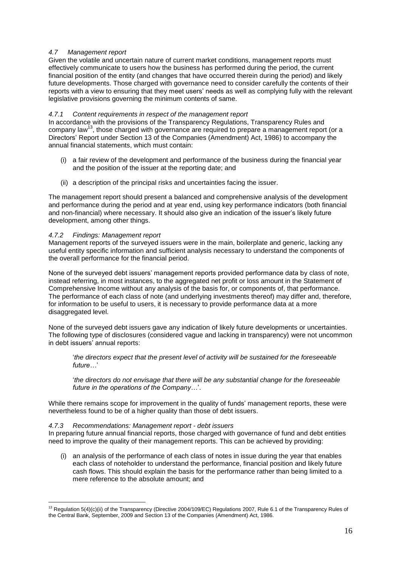## <span id="page-16-0"></span>*4.7 Management report*

Given the volatile and uncertain nature of current market conditions, management reports must effectively communicate to users how the business has performed during the period, the current financial position of the entity (and changes that have occurred therein during the period) and likely future developments. Those charged with governance need to consider carefully the contents of their reports with a view to ensuring that they meet users' needs as well as complying fully with the relevant legislative provisions governing the minimum contents of same.

## <span id="page-16-1"></span>*4.7.1 Content requirements in respect of the management* re*port*

In accordance with the provisions of the Transparency Regulations, Transparency Rules and company law<sup>13</sup>, those charged with governance are required to prepare a management report (or a Directors' Report under Section 13 of the Companies (Amendment) Act, 1986) to accompany the annual financial statements, which must contain:

- (i) a fair review of the development and performance of the business during the financial year and the position of the issuer at the reporting date; and
- (ii) a description of the principal risks and uncertainties facing the issuer.

The management report should present a balanced and comprehensive analysis of the development and performance during the period and at year end, using key performance indicators (both financial and non-financial) where necessary. It should also give an indication of the issuer's likely future development, among other things.

## <span id="page-16-2"></span>*4.7.2 Findings: Management report*

Management reports of the surveyed issuers were in the main, boilerplate and generic, lacking any useful entity specific information and sufficient analysis necessary to understand the components of the overall performance for the financial period.

None of the surveyed debt issuers' management reports provided performance data by class of note, instead referring, in most instances, to the aggregated net profit or loss amount in the Statement of Comprehensive Income without any analysis of the basis for, or components of, that performance. The performance of each class of note (and underlying investments thereof) may differ and, therefore, for information to be useful to users, it is necessary to provide performance data at a more disaggregated level.

None of the surveyed debt issuers gave any indication of likely future developments or uncertainties. The following type of disclosures (considered vague and lacking in transparency) were not uncommon in debt issuers' annual reports:

'*the directors expect that the present level of activity will be sustained for the foreseeable future…*'

'*the directors do not envisage that there will be any substantial change for the foreseeable future in the operations of the Company…*'.

While there remains scope for improvement in the quality of funds' management reports, these were nevertheless found to be of a higher quality than those of debt issuers.

## <span id="page-16-3"></span>*4.7.3 Recommendations: Management report - debt issuers*

In preparing future annual financial reports, those charged with governance of fund and debt entities need to improve the quality of their management reports. This can be achieved by providing:

(i) an analysis of the performance of each class of notes in issue during the year that enables each class of noteholder to understand the performance, financial position and likely future cash flows. This should explain the basis for the performance rather than being limited to a mere reference to the absolute amount; and

<sup>1</sup> <sup>13</sup> Regulation 5(4)(c)(ii) of the Transparency (Directive 2004/109/EC) Regulations 2007, Rule 6.1 of the Transparency Rules of the Central Bank, September, 2009 and Section 13 of the Companies (Amendment) Act, 1986.